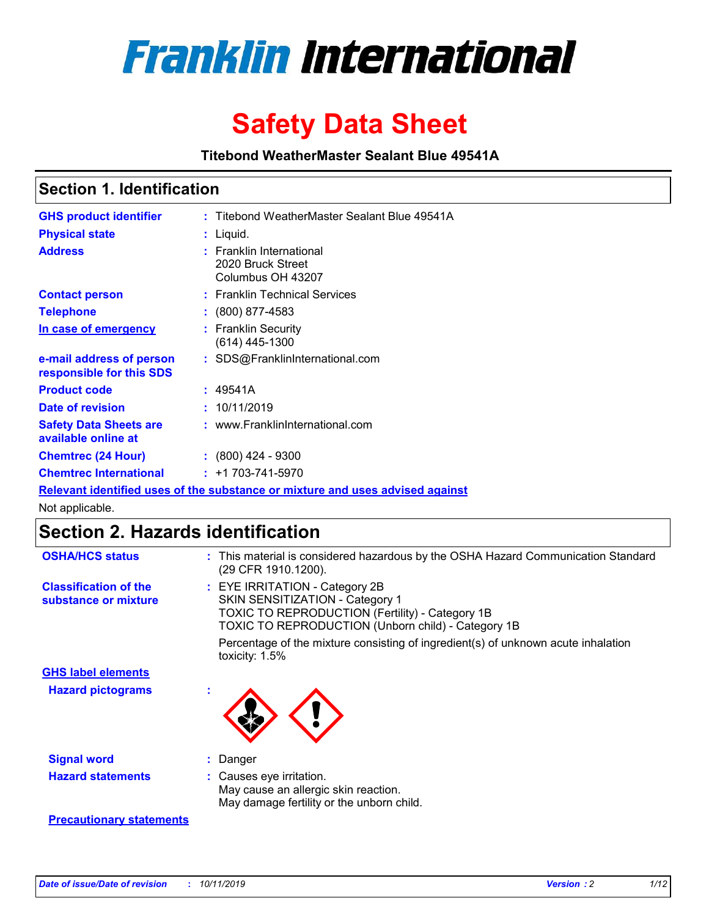

# **Safety Data Sheet**

**Titebond WeatherMaster Sealant Blue 49541A**

### **Section 1. Identification**

| <b>GHS product identifier</b>                        | : Titebond WeatherMaster Sealant Blue 49541A                                  |
|------------------------------------------------------|-------------------------------------------------------------------------------|
| <b>Physical state</b>                                | : Liquid.                                                                     |
| <b>Address</b>                                       | : Franklin International<br>2020 Bruck Street<br>Columbus OH 43207            |
| <b>Contact person</b>                                | : Franklin Technical Services                                                 |
| <b>Telephone</b>                                     | $\div$ (800) 877-4583                                                         |
| In case of emergency                                 | : Franklin Security<br>(614) 445-1300                                         |
| e-mail address of person<br>responsible for this SDS | : SDS@FranklinInternational.com                                               |
| <b>Product code</b>                                  | : 49541A                                                                      |
| Date of revision                                     | : 10/11/2019                                                                  |
| <b>Safety Data Sheets are</b><br>available online at | : www.FranklinInternational.com                                               |
| <b>Chemtrec (24 Hour)</b>                            | $\div$ (800) 424 - 9300                                                       |
| <b>Chemtrec International</b>                        | $: +1703 - 741 - 5970$                                                        |
|                                                      | Relevant identified uses of the substance or mixture and uses advised against |

Not applicable.

## **Section 2. Hazards identification**

| <b>OSHA/HCS status</b>                               | : This material is considered hazardous by the OSHA Hazard Communication Standard<br>(29 CFR 1910.1200).                                                                                 |
|------------------------------------------------------|------------------------------------------------------------------------------------------------------------------------------------------------------------------------------------------|
| <b>Classification of the</b><br>substance or mixture | : EYE IRRITATION - Category 2B<br>SKIN SENSITIZATION - Category 1<br><b>TOXIC TO REPRODUCTION (Fertility) - Category 1B</b><br><b>TOXIC TO REPRODUCTION (Unborn child) - Category 1B</b> |
|                                                      | Percentage of the mixture consisting of ingredient(s) of unknown acute inhalation<br>toxicity: $1.5\%$                                                                                   |
| <b>GHS label elements</b>                            |                                                                                                                                                                                          |
| <b>Hazard pictograms</b>                             |                                                                                                                                                                                          |
| <b>Signal word</b>                                   | : Danger                                                                                                                                                                                 |
| <b>Hazard statements</b>                             | : Causes eye irritation.<br>May cause an allergic skin reaction.<br>May damage fertility or the unborn child.                                                                            |
| <b>Precautionary statements</b>                      |                                                                                                                                                                                          |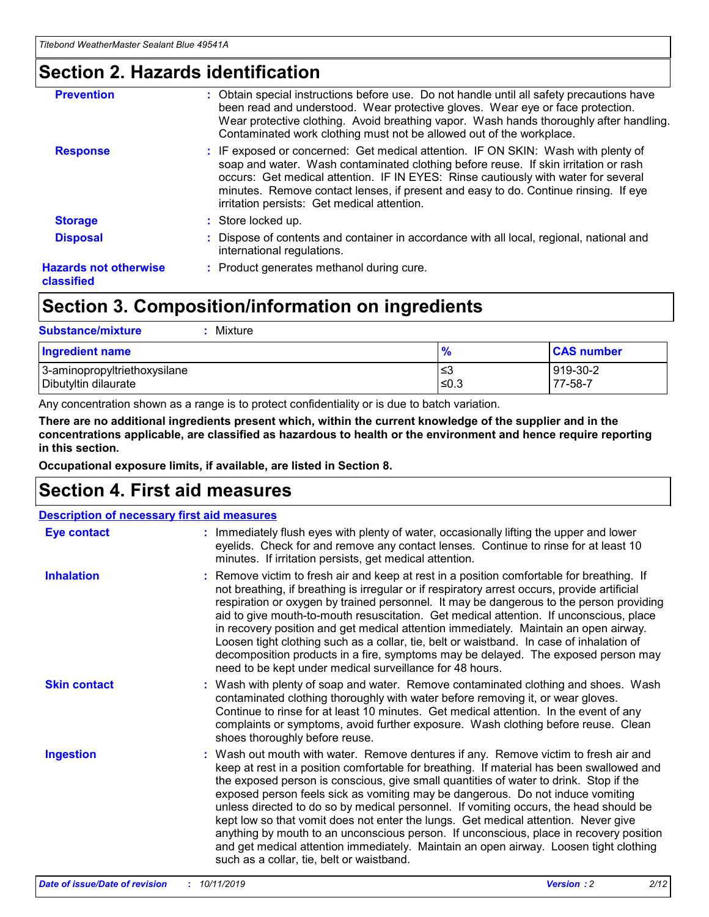### **Section 2. Hazards identification**

| <b>Prevention</b>                          | : Obtain special instructions before use. Do not handle until all safety precautions have<br>been read and understood. Wear protective gloves. Wear eye or face protection.<br>Wear protective clothing. Avoid breathing vapor. Wash hands thoroughly after handling.<br>Contaminated work clothing must not be allowed out of the workplace.                                                        |
|--------------------------------------------|------------------------------------------------------------------------------------------------------------------------------------------------------------------------------------------------------------------------------------------------------------------------------------------------------------------------------------------------------------------------------------------------------|
| <b>Response</b>                            | : IF exposed or concerned: Get medical attention. IF ON SKIN: Wash with plenty of<br>soap and water. Wash contaminated clothing before reuse. If skin irritation or rash<br>occurs: Get medical attention. IF IN EYES: Rinse cautiously with water for several<br>minutes. Remove contact lenses, if present and easy to do. Continue rinsing. If eye<br>irritation persists: Get medical attention. |
| <b>Storage</b>                             | : Store locked up.                                                                                                                                                                                                                                                                                                                                                                                   |
| <b>Disposal</b>                            | : Dispose of contents and container in accordance with all local, regional, national and<br>international regulations.                                                                                                                                                                                                                                                                               |
| <b>Hazards not otherwise</b><br>classified | : Product generates methanol during cure.                                                                                                                                                                                                                                                                                                                                                            |
|                                            |                                                                                                                                                                                                                                                                                                                                                                                                      |

## **Section 3. Composition/information on ingredients**

| <b>Substance/mixture</b><br>Mixture                  |               |                     |
|------------------------------------------------------|---------------|---------------------|
| <b>Ingredient name</b>                               | $\frac{9}{6}$ | <b>CAS number</b>   |
| 3-aminopropyltriethoxysilane<br>Dibutyltin dilaurate | ≤3<br>≤0.3    | 919-30-2<br>77-58-7 |

Any concentration shown as a range is to protect confidentiality or is due to batch variation.

**There are no additional ingredients present which, within the current knowledge of the supplier and in the concentrations applicable, are classified as hazardous to health or the environment and hence require reporting in this section.**

**Occupational exposure limits, if available, are listed in Section 8.**

## **Section 4. First aid measures**

| <b>Description of necessary first aid measures</b> |                                                                                                                                                                                                                                                                                                                                                                                                                                                                                                                                                                                                                                                                                                                                                                           |  |  |  |
|----------------------------------------------------|---------------------------------------------------------------------------------------------------------------------------------------------------------------------------------------------------------------------------------------------------------------------------------------------------------------------------------------------------------------------------------------------------------------------------------------------------------------------------------------------------------------------------------------------------------------------------------------------------------------------------------------------------------------------------------------------------------------------------------------------------------------------------|--|--|--|
| <b>Eye contact</b>                                 | : Immediately flush eyes with plenty of water, occasionally lifting the upper and lower<br>eyelids. Check for and remove any contact lenses. Continue to rinse for at least 10<br>minutes. If irritation persists, get medical attention.                                                                                                                                                                                                                                                                                                                                                                                                                                                                                                                                 |  |  |  |
| <b>Inhalation</b>                                  | : Remove victim to fresh air and keep at rest in a position comfortable for breathing. If<br>not breathing, if breathing is irregular or if respiratory arrest occurs, provide artificial<br>respiration or oxygen by trained personnel. It may be dangerous to the person providing<br>aid to give mouth-to-mouth resuscitation. Get medical attention. If unconscious, place<br>in recovery position and get medical attention immediately. Maintain an open airway.<br>Loosen tight clothing such as a collar, tie, belt or waistband. In case of inhalation of<br>decomposition products in a fire, symptoms may be delayed. The exposed person may<br>need to be kept under medical surveillance for 48 hours.                                                       |  |  |  |
| <b>Skin contact</b>                                | : Wash with plenty of soap and water. Remove contaminated clothing and shoes. Wash<br>contaminated clothing thoroughly with water before removing it, or wear gloves.<br>Continue to rinse for at least 10 minutes. Get medical attention. In the event of any<br>complaints or symptoms, avoid further exposure. Wash clothing before reuse. Clean<br>shoes thoroughly before reuse.                                                                                                                                                                                                                                                                                                                                                                                     |  |  |  |
| <b>Ingestion</b>                                   | : Wash out mouth with water. Remove dentures if any. Remove victim to fresh air and<br>keep at rest in a position comfortable for breathing. If material has been swallowed and<br>the exposed person is conscious, give small quantities of water to drink. Stop if the<br>exposed person feels sick as vomiting may be dangerous. Do not induce vomiting<br>unless directed to do so by medical personnel. If vomiting occurs, the head should be<br>kept low so that vomit does not enter the lungs. Get medical attention. Never give<br>anything by mouth to an unconscious person. If unconscious, place in recovery position<br>and get medical attention immediately. Maintain an open airway. Loosen tight clothing<br>such as a collar, tie, belt or waistband. |  |  |  |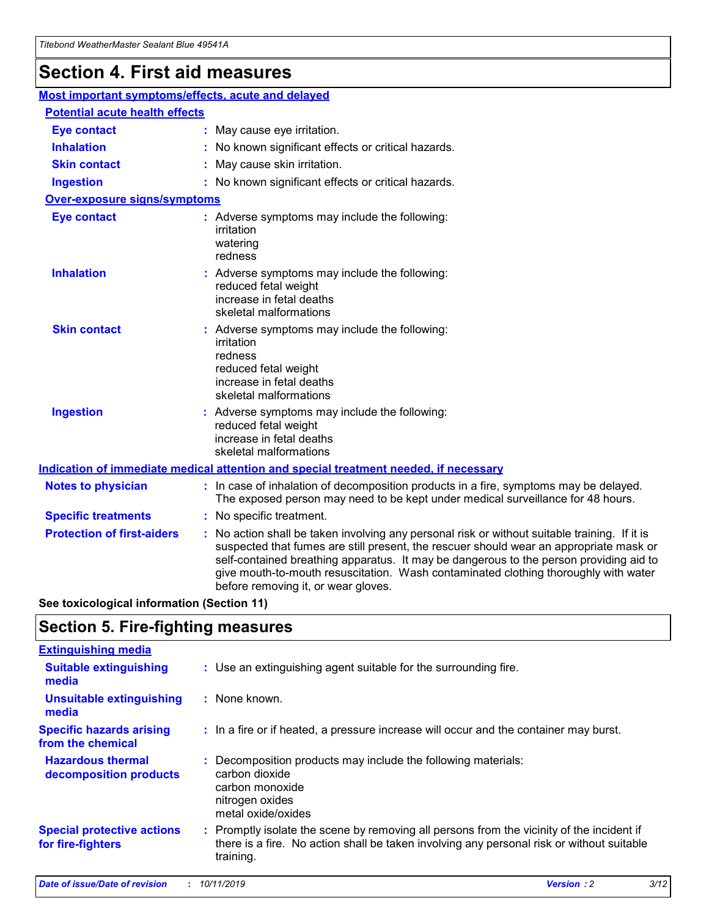## **Section 4. First aid measures**

| Most important symptoms/effects, acute and delayed |  |                                                                                                                                                                                                                                                                                                                                                                                                                 |
|----------------------------------------------------|--|-----------------------------------------------------------------------------------------------------------------------------------------------------------------------------------------------------------------------------------------------------------------------------------------------------------------------------------------------------------------------------------------------------------------|
| <b>Potential acute health effects</b>              |  |                                                                                                                                                                                                                                                                                                                                                                                                                 |
| <b>Eye contact</b>                                 |  | : May cause eye irritation.                                                                                                                                                                                                                                                                                                                                                                                     |
| <b>Inhalation</b>                                  |  | : No known significant effects or critical hazards.                                                                                                                                                                                                                                                                                                                                                             |
| <b>Skin contact</b>                                |  | : May cause skin irritation.                                                                                                                                                                                                                                                                                                                                                                                    |
| <b>Ingestion</b>                                   |  | : No known significant effects or critical hazards.                                                                                                                                                                                                                                                                                                                                                             |
| <b>Over-exposure signs/symptoms</b>                |  |                                                                                                                                                                                                                                                                                                                                                                                                                 |
| <b>Eye contact</b>                                 |  | : Adverse symptoms may include the following:<br>irritation<br>watering<br>redness                                                                                                                                                                                                                                                                                                                              |
| <b>Inhalation</b>                                  |  | : Adverse symptoms may include the following:<br>reduced fetal weight<br>increase in fetal deaths<br>skeletal malformations                                                                                                                                                                                                                                                                                     |
| <b>Skin contact</b>                                |  | : Adverse symptoms may include the following:<br>irritation<br>redness<br>reduced fetal weight<br>increase in fetal deaths<br>skeletal malformations                                                                                                                                                                                                                                                            |
| <b>Ingestion</b>                                   |  | : Adverse symptoms may include the following:<br>reduced fetal weight<br>increase in fetal deaths<br>skeletal malformations                                                                                                                                                                                                                                                                                     |
|                                                    |  | <b>Indication of immediate medical attention and special treatment needed, if necessary</b>                                                                                                                                                                                                                                                                                                                     |
| <b>Notes to physician</b>                          |  | : In case of inhalation of decomposition products in a fire, symptoms may be delayed.<br>The exposed person may need to be kept under medical surveillance for 48 hours.                                                                                                                                                                                                                                        |
| <b>Specific treatments</b>                         |  | : No specific treatment.                                                                                                                                                                                                                                                                                                                                                                                        |
| <b>Protection of first-aiders</b>                  |  | : No action shall be taken involving any personal risk or without suitable training. If it is<br>suspected that fumes are still present, the rescuer should wear an appropriate mask or<br>self-contained breathing apparatus. It may be dangerous to the person providing aid to<br>give mouth-to-mouth resuscitation. Wash contaminated clothing thoroughly with water<br>before removing it, or wear gloves. |

**See toxicological information (Section 11)**

### **Section 5. Fire-fighting measures**

| <b>Extinguishing media</b>                             |                                                                                                                                                                                                     |
|--------------------------------------------------------|-----------------------------------------------------------------------------------------------------------------------------------------------------------------------------------------------------|
| <b>Suitable extinguishing</b><br>media                 | : Use an extinguishing agent suitable for the surrounding fire.                                                                                                                                     |
| <b>Unsuitable extinguishing</b><br>media               | : None known.                                                                                                                                                                                       |
| <b>Specific hazards arising</b><br>from the chemical   | : In a fire or if heated, a pressure increase will occur and the container may burst.                                                                                                               |
| <b>Hazardous thermal</b><br>decomposition products     | : Decomposition products may include the following materials:<br>carbon dioxide<br>carbon monoxide<br>nitrogen oxides<br>metal oxide/oxides                                                         |
| <b>Special protective actions</b><br>for fire-fighters | : Promptly isolate the scene by removing all persons from the vicinity of the incident if<br>there is a fire. No action shall be taken involving any personal risk or without suitable<br>training. |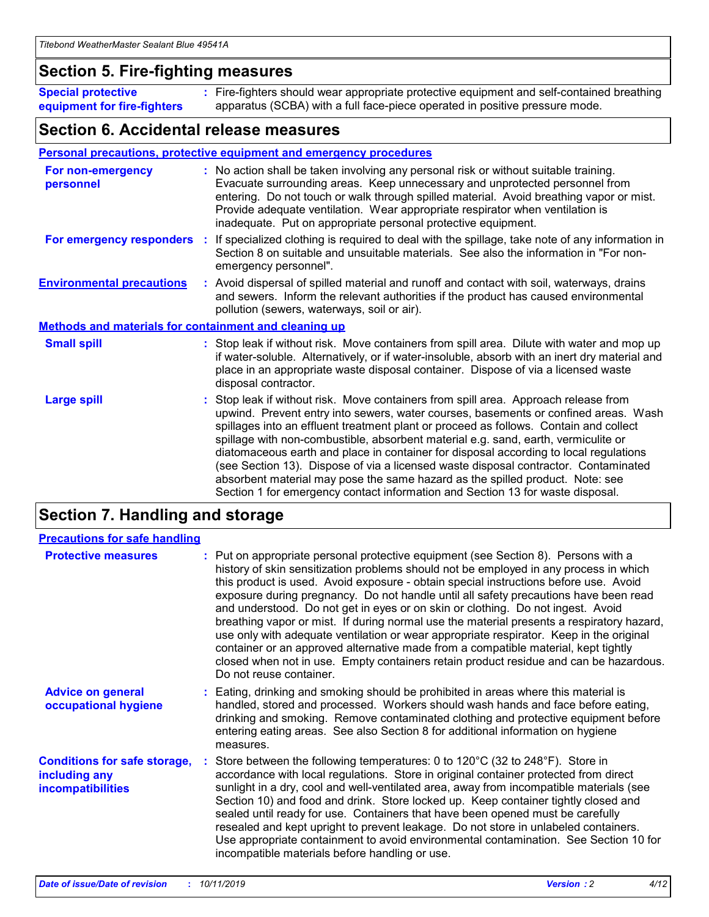### **Section 5. Fire-fighting measures**

**Special protective equipment for fire-fighters** Fire-fighters should wear appropriate protective equipment and self-contained breathing **:** apparatus (SCBA) with a full face-piece operated in positive pressure mode.

### **Section 6. Accidental release measures**

### **Personal precautions, protective equipment and emergency procedures**

| For non-emergency<br>personnel                               | : No action shall be taken involving any personal risk or without suitable training.<br>Evacuate surrounding areas. Keep unnecessary and unprotected personnel from<br>entering. Do not touch or walk through spilled material. Avoid breathing vapor or mist.<br>Provide adequate ventilation. Wear appropriate respirator when ventilation is<br>inadequate. Put on appropriate personal protective equipment.                                                                                                                                                                                                                                                                                             |
|--------------------------------------------------------------|--------------------------------------------------------------------------------------------------------------------------------------------------------------------------------------------------------------------------------------------------------------------------------------------------------------------------------------------------------------------------------------------------------------------------------------------------------------------------------------------------------------------------------------------------------------------------------------------------------------------------------------------------------------------------------------------------------------|
|                                                              | For emergency responders : If specialized clothing is required to deal with the spillage, take note of any information in<br>Section 8 on suitable and unsuitable materials. See also the information in "For non-<br>emergency personnel".                                                                                                                                                                                                                                                                                                                                                                                                                                                                  |
| <b>Environmental precautions</b>                             | : Avoid dispersal of spilled material and runoff and contact with soil, waterways, drains<br>and sewers. Inform the relevant authorities if the product has caused environmental<br>pollution (sewers, waterways, soil or air).                                                                                                                                                                                                                                                                                                                                                                                                                                                                              |
| <b>Methods and materials for containment and cleaning up</b> |                                                                                                                                                                                                                                                                                                                                                                                                                                                                                                                                                                                                                                                                                                              |
| <b>Small spill</b>                                           | : Stop leak if without risk. Move containers from spill area. Dilute with water and mop up<br>if water-soluble. Alternatively, or if water-insoluble, absorb with an inert dry material and<br>place in an appropriate waste disposal container. Dispose of via a licensed waste<br>disposal contractor.                                                                                                                                                                                                                                                                                                                                                                                                     |
| <b>Large spill</b>                                           | : Stop leak if without risk. Move containers from spill area. Approach release from<br>upwind. Prevent entry into sewers, water courses, basements or confined areas. Wash<br>spillages into an effluent treatment plant or proceed as follows. Contain and collect<br>spillage with non-combustible, absorbent material e.g. sand, earth, vermiculite or<br>diatomaceous earth and place in container for disposal according to local regulations<br>(see Section 13). Dispose of via a licensed waste disposal contractor. Contaminated<br>absorbent material may pose the same hazard as the spilled product. Note: see<br>Section 1 for emergency contact information and Section 13 for waste disposal. |

## **Section 7. Handling and storage**

| <b>Precautions for safe handling</b>                                             |                                                                                                                                                                                                                                                                                                                                                                                                                                                                                                                                                                                                                                                                                                                                                                                                                                                  |
|----------------------------------------------------------------------------------|--------------------------------------------------------------------------------------------------------------------------------------------------------------------------------------------------------------------------------------------------------------------------------------------------------------------------------------------------------------------------------------------------------------------------------------------------------------------------------------------------------------------------------------------------------------------------------------------------------------------------------------------------------------------------------------------------------------------------------------------------------------------------------------------------------------------------------------------------|
| <b>Protective measures</b>                                                       | : Put on appropriate personal protective equipment (see Section 8). Persons with a<br>history of skin sensitization problems should not be employed in any process in which<br>this product is used. Avoid exposure - obtain special instructions before use. Avoid<br>exposure during pregnancy. Do not handle until all safety precautions have been read<br>and understood. Do not get in eyes or on skin or clothing. Do not ingest. Avoid<br>breathing vapor or mist. If during normal use the material presents a respiratory hazard,<br>use only with adequate ventilation or wear appropriate respirator. Keep in the original<br>container or an approved alternative made from a compatible material, kept tightly<br>closed when not in use. Empty containers retain product residue and can be hazardous.<br>Do not reuse container. |
| <b>Advice on general</b><br>occupational hygiene                                 | : Eating, drinking and smoking should be prohibited in areas where this material is<br>handled, stored and processed. Workers should wash hands and face before eating,<br>drinking and smoking. Remove contaminated clothing and protective equipment before<br>entering eating areas. See also Section 8 for additional information on hygiene<br>measures.                                                                                                                                                                                                                                                                                                                                                                                                                                                                                    |
| <b>Conditions for safe storage,</b><br>including any<br><b>incompatibilities</b> | : Store between the following temperatures: 0 to 120 $\degree$ C (32 to 248 $\degree$ F). Store in<br>accordance with local regulations. Store in original container protected from direct<br>sunlight in a dry, cool and well-ventilated area, away from incompatible materials (see<br>Section 10) and food and drink. Store locked up. Keep container tightly closed and<br>sealed until ready for use. Containers that have been opened must be carefully<br>resealed and kept upright to prevent leakage. Do not store in unlabeled containers.<br>Use appropriate containment to avoid environmental contamination. See Section 10 for<br>incompatible materials before handling or use.                                                                                                                                                   |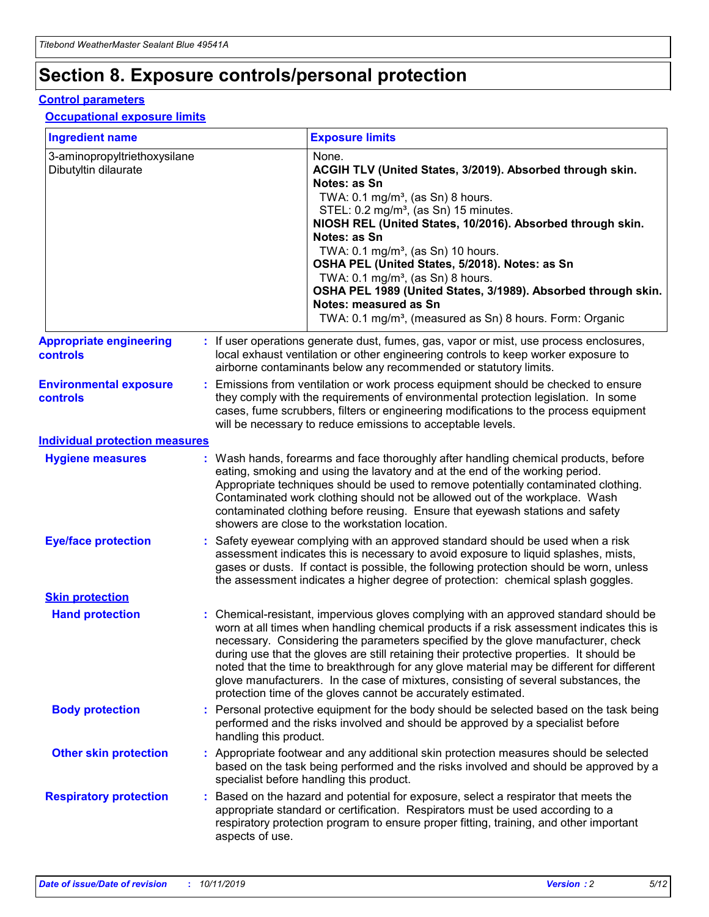## **Section 8. Exposure controls/personal protection**

### **Control parameters**

### **Occupational exposure limits**

| <b>Ingredient name</b>                               |    |                        | <b>Exposure limits</b>                                                                                                                                                                                                                                                                                                                                                                                                                                                                                                                                                                                                 |
|------------------------------------------------------|----|------------------------|------------------------------------------------------------------------------------------------------------------------------------------------------------------------------------------------------------------------------------------------------------------------------------------------------------------------------------------------------------------------------------------------------------------------------------------------------------------------------------------------------------------------------------------------------------------------------------------------------------------------|
| 3-aminopropyltriethoxysilane<br>Dibutyltin dilaurate |    |                        | None.<br>ACGIH TLV (United States, 3/2019). Absorbed through skin.<br>Notes: as Sn<br>TWA: $0.1 \text{ mg/m}^3$ , (as Sn) 8 hours.<br>STEL: 0.2 mg/m <sup>3</sup> , (as Sn) 15 minutes.<br>NIOSH REL (United States, 10/2016). Absorbed through skin.<br>Notes: as Sn<br>TWA: 0.1 mg/m <sup>3</sup> , (as Sn) 10 hours.<br>OSHA PEL (United States, 5/2018). Notes: as Sn<br>TWA: $0.1 \text{ mg/m}^3$ , (as Sn) 8 hours.<br>OSHA PEL 1989 (United States, 3/1989). Absorbed through skin.<br>Notes: measured as Sn<br>TWA: 0.1 mg/m <sup>3</sup> , (measured as Sn) 8 hours. Form: Organic                            |
| <b>Appropriate engineering</b><br>controls           |    |                        | : If user operations generate dust, fumes, gas, vapor or mist, use process enclosures,<br>local exhaust ventilation or other engineering controls to keep worker exposure to<br>airborne contaminants below any recommended or statutory limits.                                                                                                                                                                                                                                                                                                                                                                       |
| <b>Environmental exposure</b><br>controls            |    |                        | Emissions from ventilation or work process equipment should be checked to ensure<br>they comply with the requirements of environmental protection legislation. In some<br>cases, fume scrubbers, filters or engineering modifications to the process equipment<br>will be necessary to reduce emissions to acceptable levels.                                                                                                                                                                                                                                                                                          |
| <b>Individual protection measures</b>                |    |                        |                                                                                                                                                                                                                                                                                                                                                                                                                                                                                                                                                                                                                        |
| <b>Hygiene measures</b>                              |    |                        | : Wash hands, forearms and face thoroughly after handling chemical products, before<br>eating, smoking and using the lavatory and at the end of the working period.<br>Appropriate techniques should be used to remove potentially contaminated clothing.<br>Contaminated work clothing should not be allowed out of the workplace. Wash<br>contaminated clothing before reusing. Ensure that eyewash stations and safety<br>showers are close to the workstation location.                                                                                                                                            |
| <b>Eye/face protection</b>                           |    |                        | : Safety eyewear complying with an approved standard should be used when a risk<br>assessment indicates this is necessary to avoid exposure to liquid splashes, mists,<br>gases or dusts. If contact is possible, the following protection should be worn, unless<br>the assessment indicates a higher degree of protection: chemical splash goggles.                                                                                                                                                                                                                                                                  |
| <b>Skin protection</b>                               |    |                        |                                                                                                                                                                                                                                                                                                                                                                                                                                                                                                                                                                                                                        |
| <b>Hand protection</b>                               |    |                        | : Chemical-resistant, impervious gloves complying with an approved standard should be<br>worn at all times when handling chemical products if a risk assessment indicates this is<br>necessary. Considering the parameters specified by the glove manufacturer, check<br>during use that the gloves are still retaining their protective properties. It should be<br>noted that the time to breakthrough for any glove material may be different for different<br>glove manufacturers. In the case of mixtures, consisting of several substances, the<br>protection time of the gloves cannot be accurately estimated. |
| <b>Body protection</b>                               |    | handling this product. | Personal protective equipment for the body should be selected based on the task being<br>performed and the risks involved and should be approved by a specialist before                                                                                                                                                                                                                                                                                                                                                                                                                                                |
| <b>Other skin protection</b>                         |    |                        | : Appropriate footwear and any additional skin protection measures should be selected<br>based on the task being performed and the risks involved and should be approved by a<br>specialist before handling this product.                                                                                                                                                                                                                                                                                                                                                                                              |
| <b>Respiratory protection</b>                        | ÷. | aspects of use.        | Based on the hazard and potential for exposure, select a respirator that meets the<br>appropriate standard or certification. Respirators must be used according to a<br>respiratory protection program to ensure proper fitting, training, and other important                                                                                                                                                                                                                                                                                                                                                         |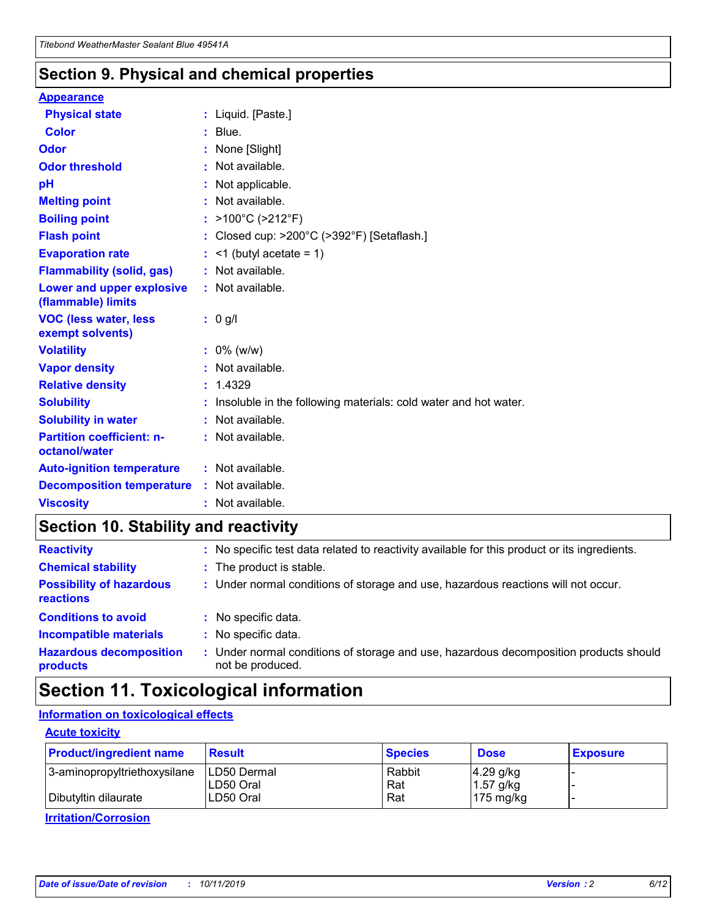### **Section 9. Physical and chemical properties**

### **Appearance**

| <b>Physical state</b>                             | : Liquid. [Paste.]                                              |
|---------------------------------------------------|-----------------------------------------------------------------|
| Color                                             | $:$ Blue.                                                       |
| Odor                                              | : None [Slight]                                                 |
| <b>Odor threshold</b>                             | $:$ Not available.                                              |
| рH                                                | : Not applicable.                                               |
| <b>Melting point</b>                              | : Not available.                                                |
| <b>Boiling point</b>                              | : >100°C (>212°F)                                               |
| <b>Flash point</b>                                | : Closed cup: >200°C (>392°F) [Setaflash.]                      |
| <b>Evaporation rate</b>                           | $:$ <1 (butyl acetate = 1)                                      |
| <b>Flammability (solid, gas)</b>                  | : Not available.                                                |
| Lower and upper explosive<br>(flammable) limits   | $:$ Not available.                                              |
| <b>VOC (less water, less</b><br>exempt solvents)  | : 0 g/l                                                         |
| <b>Volatility</b>                                 | $: 0\%$ (w/w)                                                   |
| <b>Vapor density</b>                              | : Not available.                                                |
| <b>Relative density</b>                           | : 1.4329                                                        |
| <b>Solubility</b>                                 | Insoluble in the following materials: cold water and hot water. |
| <b>Solubility in water</b>                        | : Not available.                                                |
| <b>Partition coefficient: n-</b><br>octanol/water | $:$ Not available.                                              |
| <b>Auto-ignition temperature</b>                  | : Not available.                                                |
|                                                   |                                                                 |
| <b>Decomposition temperature</b>                  | : Not available.                                                |

## **Section 10. Stability and reactivity**

| <b>Reactivity</b>                            |    | : No specific test data related to reactivity available for this product or its ingredients.            |
|----------------------------------------------|----|---------------------------------------------------------------------------------------------------------|
| <b>Chemical stability</b>                    |    | : The product is stable.                                                                                |
| <b>Possibility of hazardous</b><br>reactions |    | : Under normal conditions of storage and use, hazardous reactions will not occur.                       |
| <b>Conditions to avoid</b>                   |    | : No specific data.                                                                                     |
| <b>Incompatible materials</b>                | ٠. | No specific data.                                                                                       |
| <b>Hazardous decomposition</b><br>products   | ÷. | Under normal conditions of storage and use, hazardous decomposition products should<br>not be produced. |

## **Section 11. Toxicological information**

### **Information on toxicological effects**

### **Acute toxicity**

| <b>Product/ingredient name</b> | <b>Result</b>           | <b>Species</b> | <b>Dose</b>                | <b>Exposure</b> |
|--------------------------------|-------------------------|----------------|----------------------------|-----------------|
| 3-aminopropyltriethoxysilane   | <b>ILD50 Dermal</b>     | Rabbit         | 4.29 g/kg                  |                 |
| Dibutyltin dilaurate           | ILD50 Oral<br>LD50 Oral | Rat<br>Rat     | $1.57$ g/kg<br>175 $mg/kg$ |                 |
|                                |                         |                |                            |                 |

**Irritation/Corrosion**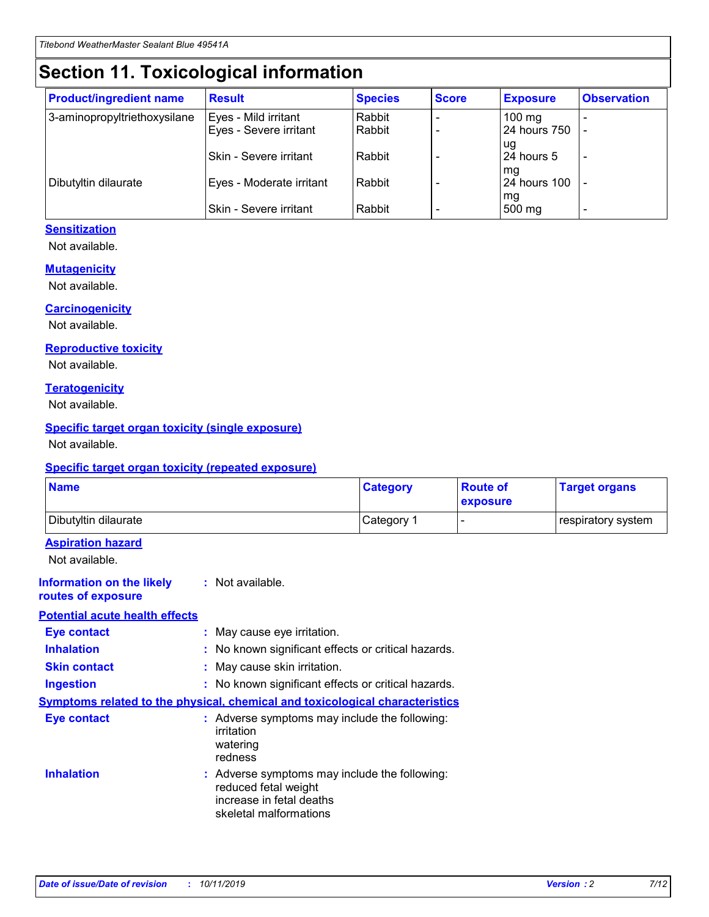## **Section 11. Toxicological information**

| <b>Product/ingredient name</b> | <b>Result</b>                 | <b>Species</b> | <b>Score</b> | <b>Exposure</b>           | <b>Observation</b> |
|--------------------------------|-------------------------------|----------------|--------------|---------------------------|--------------------|
| 3-aminopropyltriethoxysilane   | Eyes - Mild irritant          | Rabbit         |              | $100 \text{ mg}$          |                    |
|                                | Eyes - Severe irritant        | Rabbit         |              | 24 hours 750              |                    |
|                                |                               |                |              | ug                        |                    |
|                                | <b>Skin - Severe irritant</b> | Rabbit         |              | 24 hours 5                | -                  |
| Dibutyltin dilaurate           | Eyes - Moderate irritant      | Rabbit         |              | mq<br><b>24 hours 100</b> |                    |
|                                |                               |                |              | mg                        |                    |
|                                | Skin - Severe irritant        | Rabbit         |              | 500 mg                    |                    |

### **Sensitization**

Not available.

### **Mutagenicity**

Not available.

#### **Carcinogenicity**

Not available.

#### **Reproductive toxicity**

Not available.

#### **Teratogenicity**

Not available.

### **Specific target organ toxicity (single exposure)**

Not available.

#### **Specific target organ toxicity (repeated exposure)**

| <b>Name</b>                                                                  |                                                                                                                             | <b>Category</b> | <b>Route of</b><br>exposure  | <b>Target organs</b> |
|------------------------------------------------------------------------------|-----------------------------------------------------------------------------------------------------------------------------|-----------------|------------------------------|----------------------|
| Dibutyltin dilaurate                                                         |                                                                                                                             | Category 1      | $\qquad \qquad \blacksquare$ | respiratory system   |
| <b>Aspiration hazard</b><br>Not available.                                   |                                                                                                                             |                 |                              |                      |
| <b>Information on the likely</b><br>routes of exposure                       | : Not available.                                                                                                            |                 |                              |                      |
| <b>Potential acute health effects</b>                                        |                                                                                                                             |                 |                              |                      |
| <b>Eye contact</b>                                                           | : May cause eye irritation.                                                                                                 |                 |                              |                      |
| <b>Inhalation</b>                                                            | : No known significant effects or critical hazards.                                                                         |                 |                              |                      |
| <b>Skin contact</b>                                                          | : May cause skin irritation.                                                                                                |                 |                              |                      |
| <b>Ingestion</b>                                                             | : No known significant effects or critical hazards.                                                                         |                 |                              |                      |
| Symptoms related to the physical, chemical and toxicological characteristics |                                                                                                                             |                 |                              |                      |
| <b>Eye contact</b>                                                           | : Adverse symptoms may include the following:<br>irritation<br>watering<br>redness                                          |                 |                              |                      |
| <b>Inhalation</b>                                                            | : Adverse symptoms may include the following:<br>reduced fetal weight<br>increase in fetal deaths<br>skeletal malformations |                 |                              |                      |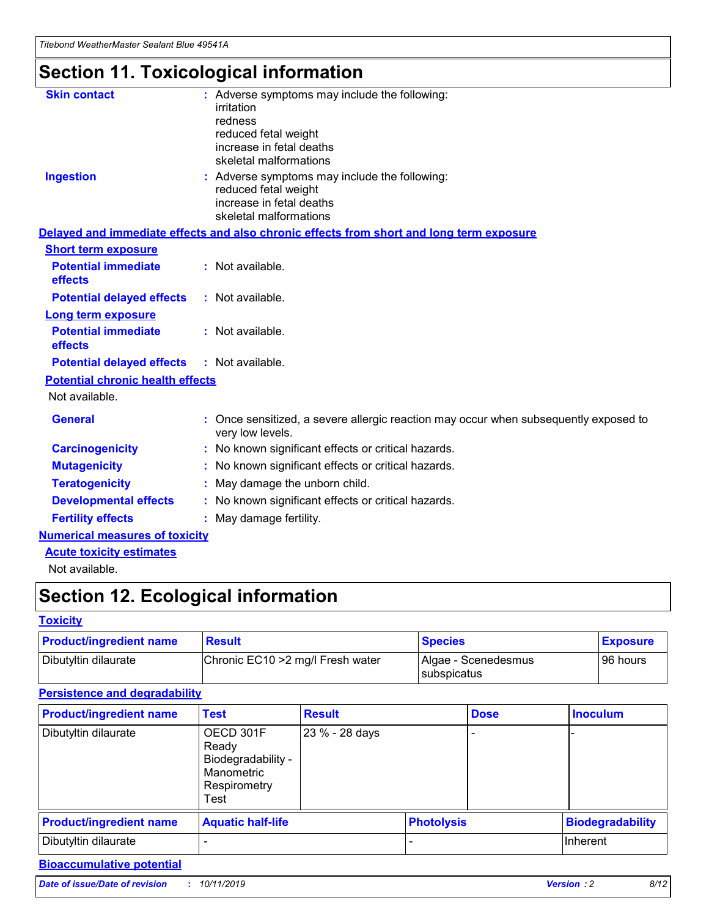## **Section 11. Toxicological information**

| <b>Skin contact</b>                     | : Adverse symptoms may include the following:                                                            |
|-----------------------------------------|----------------------------------------------------------------------------------------------------------|
|                                         | irritation                                                                                               |
|                                         | redness                                                                                                  |
|                                         | reduced fetal weight                                                                                     |
|                                         | increase in fetal deaths                                                                                 |
|                                         | skeletal malformations                                                                                   |
| <b>Ingestion</b>                        | : Adverse symptoms may include the following:                                                            |
|                                         | reduced fetal weight                                                                                     |
|                                         | increase in fetal deaths                                                                                 |
|                                         | skeletal malformations                                                                                   |
|                                         | Delayed and immediate effects and also chronic effects from short and long term exposure                 |
| <b>Short term exposure</b>              |                                                                                                          |
| <b>Potential immediate</b>              | : Not available.                                                                                         |
| effects                                 |                                                                                                          |
| <b>Potential delayed effects</b>        | : Not available.                                                                                         |
| Long term exposure                      |                                                                                                          |
| <b>Potential immediate</b>              | : Not available.                                                                                         |
| effects                                 |                                                                                                          |
| <b>Potential delayed effects</b>        | : Not available.                                                                                         |
| <b>Potential chronic health effects</b> |                                                                                                          |
| Not available.                          |                                                                                                          |
| <b>General</b>                          | : Once sensitized, a severe allergic reaction may occur when subsequently exposed to<br>very low levels. |
| <b>Carcinogenicity</b>                  | : No known significant effects or critical hazards.                                                      |
| <b>Mutagenicity</b>                     | No known significant effects or critical hazards.                                                        |
| <b>Teratogenicity</b>                   | May damage the unborn child.                                                                             |
| <b>Developmental effects</b>            | No known significant effects or critical hazards.                                                        |
| <b>Fertility effects</b>                | : May damage fertility.                                                                                  |
| <b>Numerical measures of toxicity</b>   |                                                                                                          |
| <b>Acute toxicity estimates</b>         |                                                                                                          |
|                                         |                                                                                                          |

Not available.

## **Section 12. Ecological information**

### **Toxicity**

| <b>Product/ingredient name</b> | <b>Result</b>                     | <b>Species</b>                       | <b>Exposure</b> |
|--------------------------------|-----------------------------------|--------------------------------------|-----------------|
| Dibutyltin dilaurate           | Chronic EC10 > 2 mg/l Fresh water | Algae - Scenedesmus<br>I subspicatus | l 96 hours      |

### **Persistence and degradability**

| <b>Product/ingredient name</b> | <b>Test</b>                                                                    | <b>Result</b>  |                   | <b>Dose</b> | <b>Inoculum</b>         |
|--------------------------------|--------------------------------------------------------------------------------|----------------|-------------------|-------------|-------------------------|
| Dibutyltin dilaurate           | OECD 301F<br>Ready<br>Biodegradability -<br>Manometric<br>Respirometry<br>Test | 23 % - 28 days |                   |             |                         |
| <b>Product/ingredient name</b> | <b>Aquatic half-life</b>                                                       |                | <b>Photolysis</b> |             | <b>Biodegradability</b> |
| Dibutyltin dilaurate           |                                                                                |                |                   |             | Inherent                |

### **Bioaccumulative potential**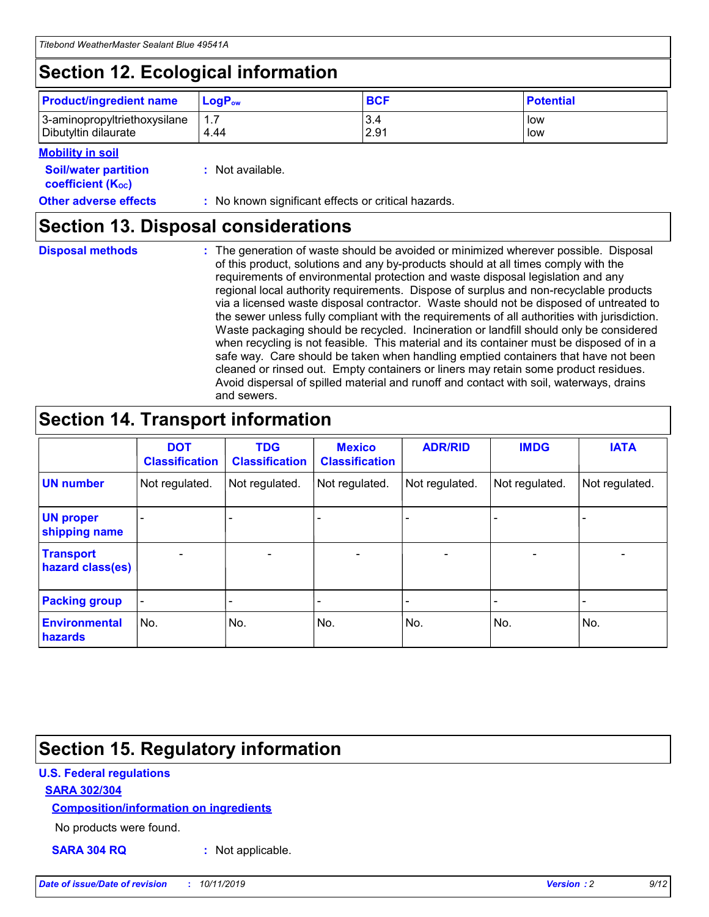## **Section 12. Ecological information**

| <b>Product/ingredient name</b> | $LoaPow$ | <b>BCF</b> | <b>Potential</b> |
|--------------------------------|----------|------------|------------------|
| 3-aminopropyltriethoxysilane   | 1.7      | 3.4        | low              |
| Dibutyltin dilaurate           | 4.44     | 2.91       | low              |

#### **Mobility in soil**

| <b>Soil/water partition</b><br>coefficient (K <sub>oc</sub> ) | : Not available.                                    |
|---------------------------------------------------------------|-----------------------------------------------------|
| <b>Other adverse effects</b>                                  | : No known significant effects or critical hazards. |

### **Section 13. Disposal considerations**

|  | <b>Disposal methods</b> |  |
|--|-------------------------|--|

**Disposal methods** : The generation of waste should be avoided or minimized wherever possible. Disposal of this product, solutions and any by-products should at all times comply with the requirements of environmental protection and waste disposal legislation and any regional local authority requirements. Dispose of surplus and non-recyclable products via a licensed waste disposal contractor. Waste should not be disposed of untreated to the sewer unless fully compliant with the requirements of all authorities with jurisdiction. Waste packaging should be recycled. Incineration or landfill should only be considered when recycling is not feasible. This material and its container must be disposed of in a safe way. Care should be taken when handling emptied containers that have not been cleaned or rinsed out. Empty containers or liners may retain some product residues. Avoid dispersal of spilled material and runoff and contact with soil, waterways, drains and sewers.

## **Section 14. Transport information**

|                                      | <b>DOT</b><br><b>Classification</b> | <b>TDG</b><br><b>Classification</b> | <b>Mexico</b><br><b>Classification</b> | <b>ADR/RID</b> | <b>IMDG</b>              | <b>IATA</b>              |
|--------------------------------------|-------------------------------------|-------------------------------------|----------------------------------------|----------------|--------------------------|--------------------------|
| <b>UN number</b>                     | Not regulated.                      | Not regulated.                      | Not regulated.                         | Not regulated. | Not regulated.           | Not regulated.           |
| <b>UN proper</b><br>shipping name    | $\blacksquare$                      |                                     |                                        |                |                          |                          |
| <b>Transport</b><br>hazard class(es) | $\blacksquare$                      | $\overline{\phantom{a}}$            | $\blacksquare$                         | $\blacksquare$ | $\overline{\phantom{a}}$ | $\overline{\phantom{0}}$ |
| <b>Packing group</b>                 | $\overline{\phantom{a}}$            | $\overline{\phantom{0}}$            | $\overline{\phantom{a}}$               | -              | $\overline{\phantom{0}}$ | $\overline{\phantom{a}}$ |
| <b>Environmental</b><br>hazards      | No.                                 | No.                                 | No.                                    | No.            | No.                      | No.                      |

## **Section 15. Regulatory information**

### **U.S. Federal regulations**

### **SARA 302/304**

### **Composition/information on ingredients**

No products were found.

**SARA 304 RQ :** Not applicable.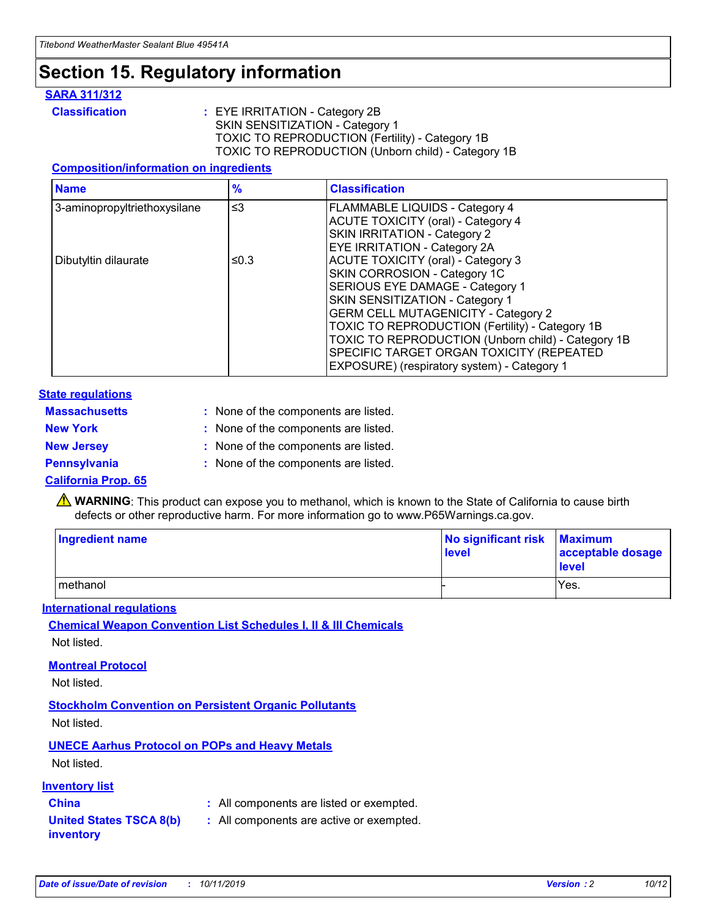## **Section 15. Regulatory information**

### **SARA 311/312**

**Classification :** EYE IRRITATION - Category 2B SKIN SENSITIZATION - Category 1 TOXIC TO REPRODUCTION (Fertility) - Category 1B TOXIC TO REPRODUCTION (Unborn child) - Category 1B

### **Composition/information on ingredients**

| <b>Name</b>                  | $\frac{9}{6}$ | <b>Classification</b>                                                                                            |
|------------------------------|---------------|------------------------------------------------------------------------------------------------------------------|
| 3-aminopropyltriethoxysilane | $\leq$ 3      | <b>FLAMMABLE LIQUIDS - Category 4</b><br><b>ACUTE TOXICITY (oral) - Category 4</b>                               |
|                              |               | SKIN IRRITATION - Category 2<br>EYE IRRITATION - Category 2A                                                     |
| Dibutyltin dilaurate         | ≤0.3          | ACUTE TOXICITY (oral) - Category 3<br>SKIN CORROSION - Category 1C                                               |
|                              |               | SERIOUS EYE DAMAGE - Category 1<br>SKIN SENSITIZATION - Category 1<br><b>GERM CELL MUTAGENICITY - Category 2</b> |
|                              |               | TOXIC TO REPRODUCTION (Fertility) - Category 1B<br>TOXIC TO REPRODUCTION (Unborn child) - Category 1B            |
|                              |               | SPECIFIC TARGET ORGAN TOXICITY (REPEATED<br>EXPOSURE) (respiratory system) - Category 1                          |

### **State regulations**

| <b>Massachusetts</b> | : None of the components are listed. |
|----------------------|--------------------------------------|
| <b>New York</b>      | : None of the components are listed. |
| <b>New Jersey</b>    | : None of the components are listed. |
| <b>Pennsylvania</b>  | : None of the components are listed. |

### **California Prop. 65**

**A** WARNING: This product can expose you to methanol, which is known to the State of California to cause birth defects or other reproductive harm. For more information go to www.P65Warnings.ca.gov.

| <b>Ingredient name</b> | No significant risk Maximum<br>level | acceptable dosage<br>level |
|------------------------|--------------------------------------|----------------------------|
| methanol               |                                      | Yes.                       |

### **International regulations**

**Chemical Weapon Convention List Schedules I, II & III Chemicals** Not listed.

### **Montreal Protocol**

Not listed.

**Stockholm Convention on Persistent Organic Pollutants**

Not listed.

### **UNECE Aarhus Protocol on POPs and Heavy Metals**

Not listed.

### **Inventory list**

### **China :** All components are listed or exempted.

**United States TSCA 8(b) inventory :** All components are active or exempted.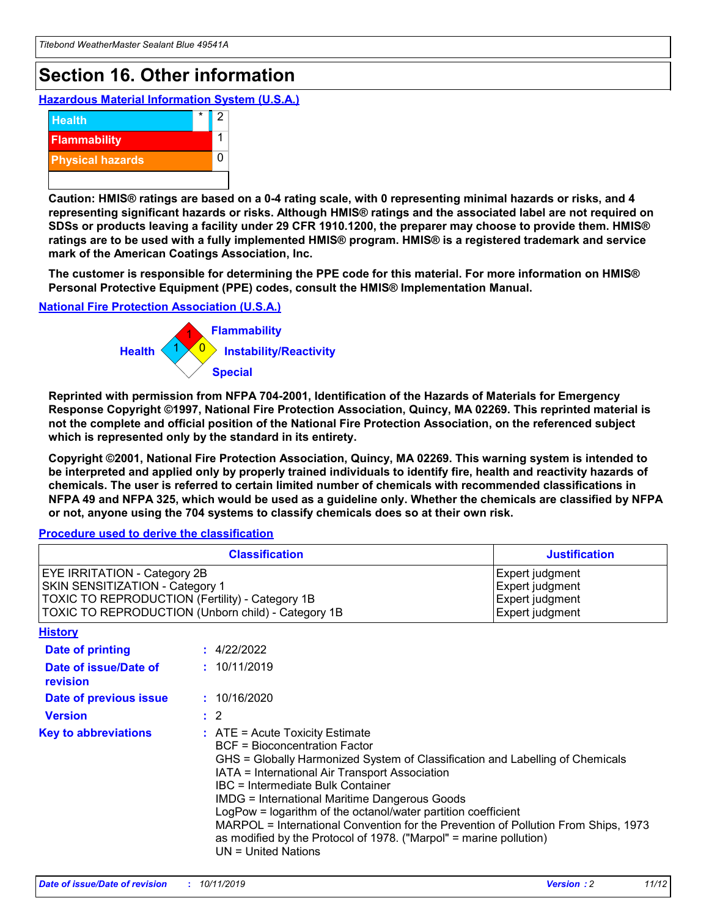## **Section 16. Other information**

**Hazardous Material Information System (U.S.A.)**



**Caution: HMIS® ratings are based on a 0-4 rating scale, with 0 representing minimal hazards or risks, and 4 representing significant hazards or risks. Although HMIS® ratings and the associated label are not required on SDSs or products leaving a facility under 29 CFR 1910.1200, the preparer may choose to provide them. HMIS® ratings are to be used with a fully implemented HMIS® program. HMIS® is a registered trademark and service mark of the American Coatings Association, Inc.**

**The customer is responsible for determining the PPE code for this material. For more information on HMIS® Personal Protective Equipment (PPE) codes, consult the HMIS® Implementation Manual.**

### **National Fire Protection Association (U.S.A.)**



**Reprinted with permission from NFPA 704-2001, Identification of the Hazards of Materials for Emergency Response Copyright ©1997, National Fire Protection Association, Quincy, MA 02269. This reprinted material is not the complete and official position of the National Fire Protection Association, on the referenced subject which is represented only by the standard in its entirety.**

**Copyright ©2001, National Fire Protection Association, Quincy, MA 02269. This warning system is intended to be interpreted and applied only by properly trained individuals to identify fire, health and reactivity hazards of chemicals. The user is referred to certain limited number of chemicals with recommended classifications in NFPA 49 and NFPA 325, which would be used as a guideline only. Whether the chemicals are classified by NFPA or not, anyone using the 704 systems to classify chemicals does so at their own risk.**

**Procedure used to derive the classification**

|                                                                                                                    | <b>Classification</b>                                                                                                                            | <b>Justification</b>                                                                                                                                                                                                                                                                                                                                                                                                 |  |
|--------------------------------------------------------------------------------------------------------------------|--------------------------------------------------------------------------------------------------------------------------------------------------|----------------------------------------------------------------------------------------------------------------------------------------------------------------------------------------------------------------------------------------------------------------------------------------------------------------------------------------------------------------------------------------------------------------------|--|
| EYE IRRITATION - Category 2B<br>SKIN SENSITIZATION - Category 1<br>TOXIC TO REPRODUCTION (Fertility) - Category 1B | TOXIC TO REPRODUCTION (Unborn child) - Category 1B                                                                                               | Expert judgment<br>Expert judgment<br>Expert judgment<br>Expert judgment                                                                                                                                                                                                                                                                                                                                             |  |
| <b>History</b>                                                                                                     |                                                                                                                                                  |                                                                                                                                                                                                                                                                                                                                                                                                                      |  |
| Date of printing                                                                                                   | : 4/22/2022                                                                                                                                      |                                                                                                                                                                                                                                                                                                                                                                                                                      |  |
| Date of issue/Date of<br>revision                                                                                  | : 10/11/2019                                                                                                                                     |                                                                                                                                                                                                                                                                                                                                                                                                                      |  |
| Date of previous issue                                                                                             | : 10/16/2020                                                                                                                                     |                                                                                                                                                                                                                                                                                                                                                                                                                      |  |
| <b>Version</b>                                                                                                     | $\therefore$ 2                                                                                                                                   |                                                                                                                                                                                                                                                                                                                                                                                                                      |  |
| <b>Key to abbreviations</b>                                                                                        | $\therefore$ ATE = Acute Toxicity Estimate<br><b>BCF</b> = Bioconcentration Factor<br>IBC = Intermediate Bulk Container<br>$UN = United Nations$ | GHS = Globally Harmonized System of Classification and Labelling of Chemicals<br>IATA = International Air Transport Association<br><b>IMDG = International Maritime Dangerous Goods</b><br>LogPow = logarithm of the octanol/water partition coefficient<br>MARPOL = International Convention for the Prevention of Pollution From Ships, 1973<br>as modified by the Protocol of 1978. ("Marpol" = marine pollution) |  |